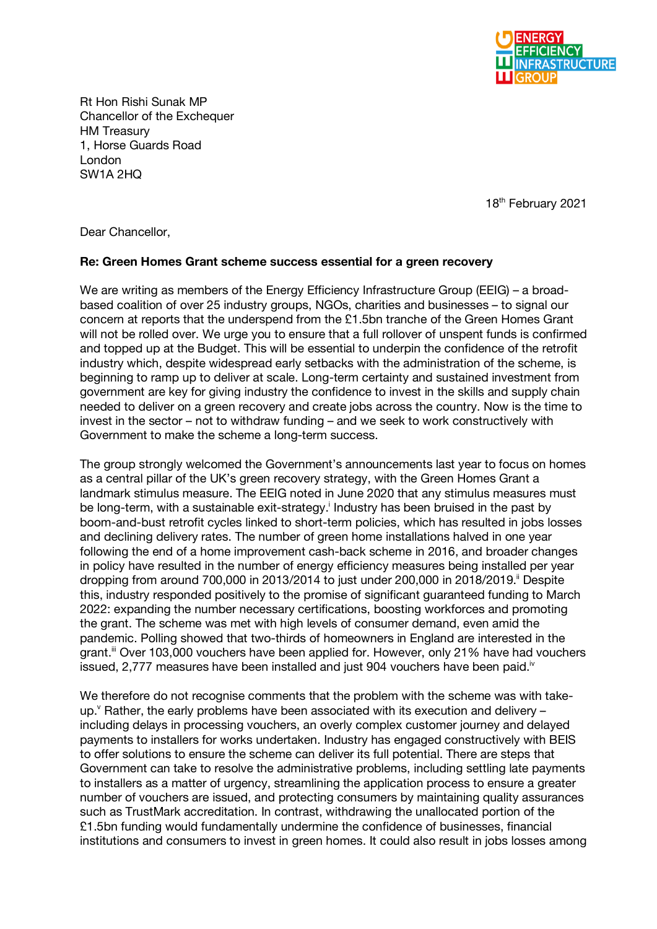

Rt Hon Rishi Sunak MP Chancellor of the Exchequer HM Treasury 1, Horse Guards Road London SW1A 2HQ

18th February 2021

Dear Chancellor,

## **Re: Green Homes Grant scheme success essential for a green recovery**

We are writing as members of the Energy Efficiency Infrastructure Group (EEIG) – a broadbased coalition of over 25 industry groups, NGOs, charities and businesses – to signal our concern at reports that the underspend from the £1.5bn tranche of the Green Homes Grant will not be rolled over. We urge you to ensure that a full rollover of unspent funds is confirmed and topped up at the Budget. This will be essential to underpin the confidence of the retrofit industry which, despite widespread early setbacks with the administration of the scheme, is beginning to ramp up to deliver at scale. Long-term certainty and sustained investment from government are key for giving industry the confidence to invest in the skills and supply chain needed to deliver on a green recovery and create jobs across the country. Now is the time to invest in the sector – not to withdraw funding – and we seek to work constructively with Government to make the scheme a long-term success.

The group strongly welcomed the Government's announcements last year to focus on homes as a central pillar of the UK's green recovery strategy, with the Green Homes Grant a landmark stimulus measure. The EEIG noted in June 2020 that any stimulus measures must be long-term, with a sustainable exit-strategy.<sup>i</sup> Industry has been bruised in the past by boom-and-bust retrofit cycles linked to short-term policies, which has resulted in jobs losses and declining delivery rates. The number of green home installations halved in one year following the end of a home improvement cash-back scheme in 2016, and broader changes in policy have resulted in the number of energy efficiency measures being installed per year dropping from around 700,000 in 2013/2014 to just under 200,000 in 2018/2019. Despite this, industry responded positively to the promise of significant guaranteed funding to March 2022: expanding the number necessary certifications, boosting workforces and promoting the grant. The scheme was met with high levels of consumer demand, even amid the pandemic. Polling showed that two-thirds of homeowners in England are interested in the grant.<sup>ii</sup> Over 103,000 vouchers have been applied for. However, only 21% have had vouchers issued, 2,777 measures have been installed and just 904 vouchers have been paid.<sup>iv</sup>

We therefore do not recognise comments that the problem with the scheme was with takeup. $v$  Rather, the early problems have been associated with its execution and delivery – including delays in processing vouchers, an overly complex customer journey and delayed payments to installers for works undertaken. Industry has engaged constructively with BEIS to offer solutions to ensure the scheme can deliver its full potential. There are steps that Government can take to resolve the administrative problems, including settling late payments to installers as a matter of urgency, streamlining the application process to ensure a greater number of vouchers are issued, and protecting consumers by maintaining quality assurances such as TrustMark accreditation. In contrast, withdrawing the unallocated portion of the £1.5bn funding would fundamentally undermine the confidence of businesses, financial institutions and consumers to invest in green homes. It could also result in jobs losses among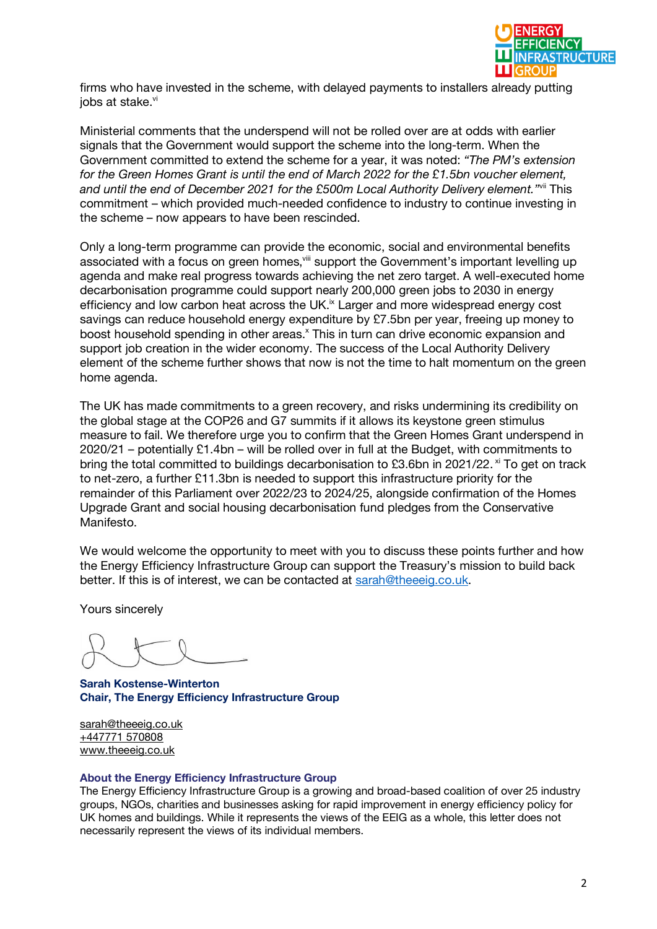

firms who have invested in the scheme, with delayed payments to installers already putting iobs at stake.<sup>vi</sup>

Ministerial comments that the underspend will not be rolled over are at odds with earlier signals that the Government would support the scheme into the long-term. When the Government committed to extend the scheme for a year, it was noted: *"The PM's extension for the Green Homes Grant is until the end of March 2022 for the £1.5bn voucher element, and until the end of December 2021 for the £500m Local Authority Delivery element."*vii This commitment – which provided much-needed confidence to industry to continue investing in the scheme – now appears to have been rescinded.

Only a long-term programme can provide the economic, social and environmental benefits associated with a focus on green homes, ill support the Government's important levelling up agenda and make real progress towards achieving the net zero target. A well-executed home decarbonisation programme could support nearly 200,000 green jobs to 2030 in energy efficiency and low carbon heat across the UK.<sup>ix</sup> Larger and more widespread energy cost savings can reduce household energy expenditure by £7.5bn per year, freeing up money to boost household spending in other areas.<sup>x</sup> This in turn can drive economic expansion and support job creation in the wider economy. The success of the Local Authority Delivery element of the scheme further shows that now is not the time to halt momentum on the green home agenda.

The UK has made commitments to a green recovery, and risks undermining its credibility on the global stage at the COP26 and G7 summits if it allows its keystone green stimulus measure to fail. We therefore urge you to confirm that the Green Homes Grant underspend in 2020/21 – potentially £1.4bn – will be rolled over in full at the Budget, with commitments to bring the total committed to buildings decarbonisation to £3.6bn in 2021/22. <sup>xi</sup> To get on track to net-zero, a further £11.3bn is needed to support this infrastructure priority for the remainder of this Parliament over 2022/23 to 2024/25, alongside confirmation of the Homes Upgrade Grant and social housing decarbonisation fund pledges from the Conservative Manifesto.

We would welcome the opportunity to meet with you to discuss these points further and how the Energy Efficiency Infrastructure Group can support the Treasury's mission to build back better. If this is of interest, we can be contacted at sarah@theeeig.co.uk.

Yours sincerely

**Sarah Kostense-Winterton Chair, The Energy Efficiency Infrastructure Group**

sarah@theeeig.co.uk +447771 570808 www.theeeig.co.uk

## **About the Energy Efficiency Infrastructure Group**

The Energy Efficiency Infrastructure Group is a growing and broad-based coalition of over 25 industry groups, NGOs, charities and businesses asking for rapid improvement in energy efficiency policy for UK homes and buildings. While it represents the views of the EEIG as a whole, this letter does not necessarily represent the views of its individual members.